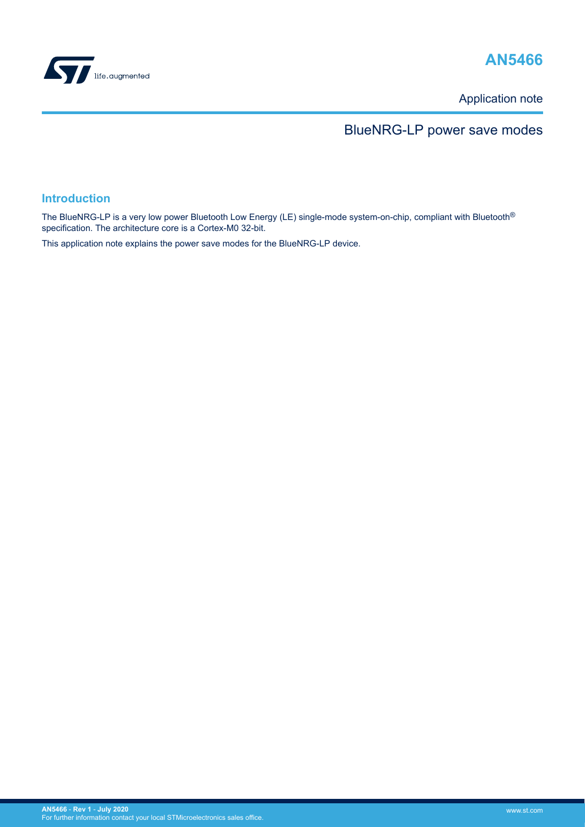

# **AN5466**

Application note

# BlueNRG-LP power save modes

### **Introduction**

The BlueNRG-LP is a very low power Bluetooth Low Energy (LE) single-mode system-on-chip, compliant with Bluetooth<sup>®</sup> specification. The architecture core is a Cortex-M0 32-bit.

This application note explains the power save modes for the BlueNRG-LP device.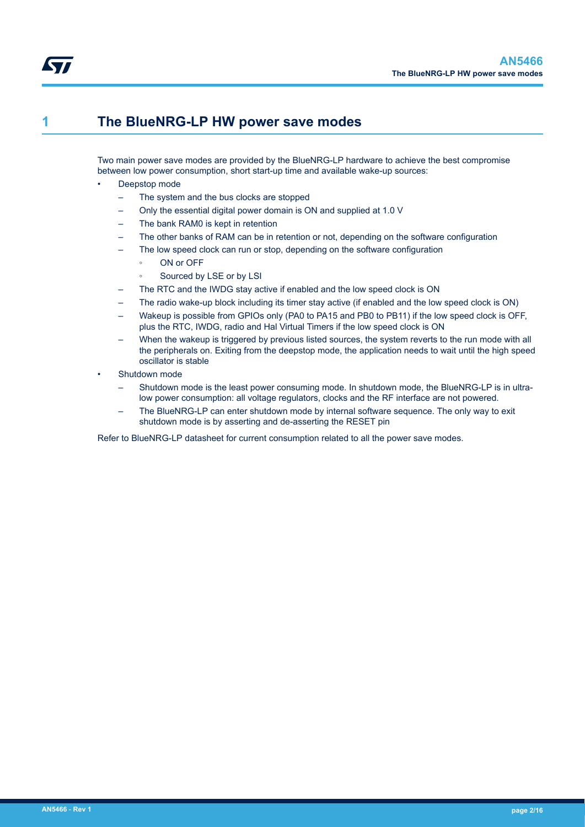<span id="page-1-0"></span>

## **1 The BlueNRG-LP HW power save modes**

Two main power save modes are provided by the BlueNRG-LP hardware to achieve the best compromise between low power consumption, short start-up time and available wake-up sources:

- Deepstop mode
	- The system and the bus clocks are stopped
	- Only the essential digital power domain is ON and supplied at 1.0 V
	- The bank RAM0 is kept in retention
	- The other banks of RAM can be in retention or not, depending on the software configuration
	- The low speed clock can run or stop, depending on the software configuration
		- ON or OFF
		- Sourced by LSE or by LSI
	- The RTC and the IWDG stay active if enabled and the low speed clock is ON
	- The radio wake-up block including its timer stay active (if enabled and the low speed clock is ON)
	- Wakeup is possible from GPIOs only (PA0 to PA15 and PB0 to PB11) if the low speed clock is OFF, plus the RTC, IWDG, radio and Hal Virtual Timers if the low speed clock is ON
	- When the wakeup is triggered by previous listed sources, the system reverts to the run mode with all the peripherals on. Exiting from the deepstop mode, the application needs to wait until the high speed oscillator is stable
- Shutdown mode
	- Shutdown mode is the least power consuming mode. In shutdown mode, the BlueNRG-LP is in ultralow power consumption: all voltage regulators, clocks and the RF interface are not powered.
	- The BlueNRG-LP can enter shutdown mode by internal software sequence. The only way to exit shutdown mode is by asserting and de-asserting the RESET pin

Refer to BlueNRG-LP datasheet for current consumption related to all the power save modes.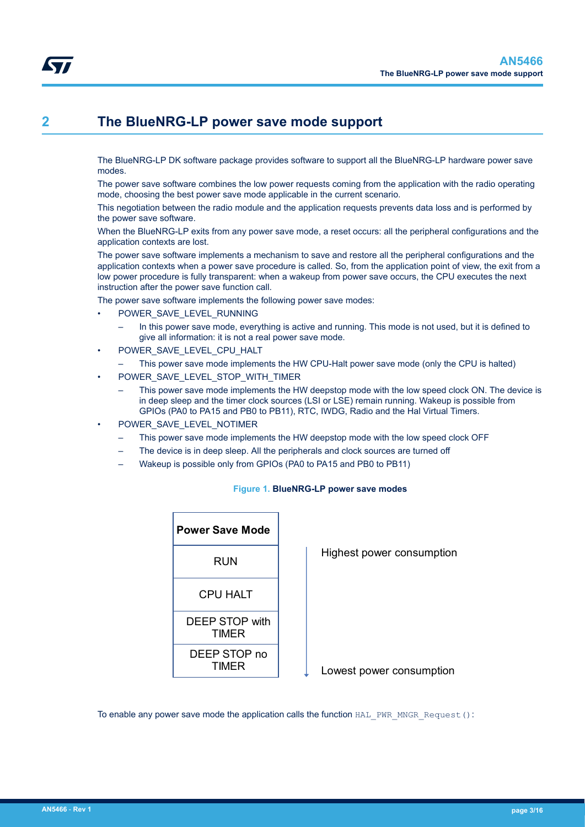<span id="page-2-0"></span>The BlueNRG-LP DK software package provides software to support all the BlueNRG-LP hardware power save modes.

The power save software combines the low power requests coming from the application with the radio operating mode, choosing the best power save mode applicable in the current scenario.

This negotiation between the radio module and the application requests prevents data loss and is performed by the power save software.

When the BlueNRG-LP exits from any power save mode, a reset occurs: all the peripheral configurations and the application contexts are lost.

The power save software implements a mechanism to save and restore all the peripheral configurations and the application contexts when a power save procedure is called. So, from the application point of view, the exit from a low power procedure is fully transparent: when a wakeup from power save occurs, the CPU executes the next instruction after the power save function call.

The power save software implements the following power save modes:

- POWER\_SAVE\_LEVEL\_RUNNING
	- In this power save mode, everything is active and running. This mode is not used, but it is defined to give all information: it is not a real power save mode.
- POWER\_SAVE\_LEVEL\_CPU\_HALT
	- This power save mode implements the HW CPU-Halt power save mode (only the CPU is halted)
- POWER\_SAVE\_LEVEL\_STOP\_WITH\_TIMER
	- This power save mode implements the HW deepstop mode with the low speed clock ON. The device is in deep sleep and the timer clock sources (LSI or LSE) remain running. Wakeup is possible from GPIOs (PA0 to PA15 and PB0 to PB11), RTC, IWDG, Radio and the Hal Virtual Timers.
- POWER\_SAVE\_LEVEL\_NOTIMER
	- This power save mode implements the HW deepstop mode with the low speed clock OFF
	- The device is in deep sleep. All the peripherals and clock sources are turned off
	- Wakeup is possible only from GPIOs (PA0 to PA15 and PB0 to PB11)

| <b>Power Save Mode</b>         |
|--------------------------------|
| RUN                            |
| CPU HAI T                      |
| <b>DEEP STOP with</b><br>TIMFR |
| DEEP STOP no<br>TIMFR          |

#### **Figure 1. BlueNRG-LP power save modes**

Highest power consumption

Lowest power consumption

To enable any power save mode the application calls the function HAL PWR\_MNGR\_Request():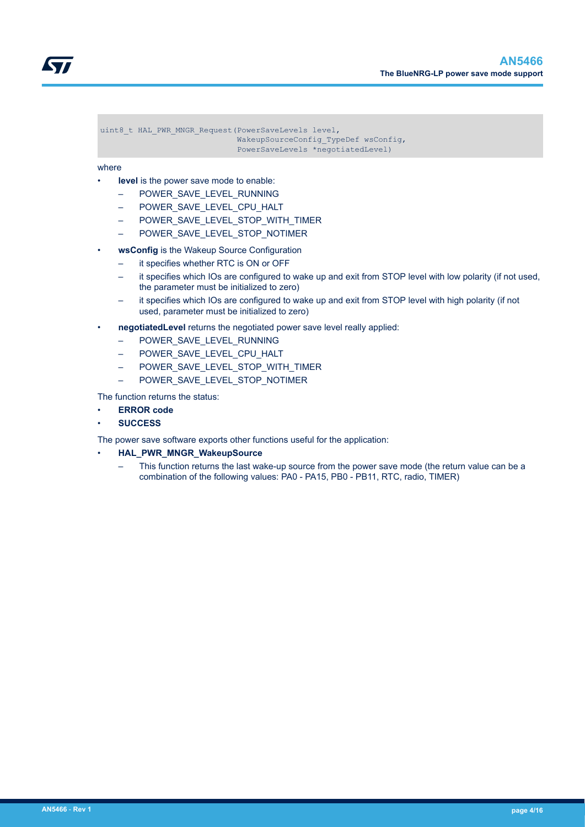

uint8 t HAL PWR MNGR Request(PowerSaveLevels level, WakeupSourceConfig\_TypeDef wsConfig,

PowerSaveLevels \*negotiatedLevel)

#### where

- level is the power save mode to enable:
	- POWER\_SAVE\_LEVEL\_RUNNING
	- POWER\_SAVE\_LEVEL\_CPU\_HALT
	- POWER SAVE LEVEL STOP WITH TIMER
	- POWER\_SAVE\_LEVEL\_STOP\_NOTIMER
- **wsConfig** is the Wakeup Source Configuration
	- it specifies whether RTC is ON or OFF
	- it specifies which IOs are configured to wake up and exit from STOP level with low polarity (if not used, the parameter must be initialized to zero)
	- it specifies which IOs are configured to wake up and exit from STOP level with high polarity (if not used, parameter must be initialized to zero)
- **negotiatedLevel** returns the negotiated power save level really applied:
	- POWER\_SAVE\_LEVEL\_RUNNING
	- POWER SAVE LEVEL CPU HALT
	- POWER SAVE LEVEL STOP WITH TIMER
	- POWER SAVE LEVEL STOP NOTIMER

The function returns the status:

- **ERROR code**
- **SUCCESS**

The power save software exports other functions useful for the application:

- **HAL\_PWR\_MNGR\_WakeupSource**
	- This function returns the last wake-up source from the power save mode (the return value can be a combination of the following values: PA0 - PA15, PB0 - PB11, RTC, radio, TIMER)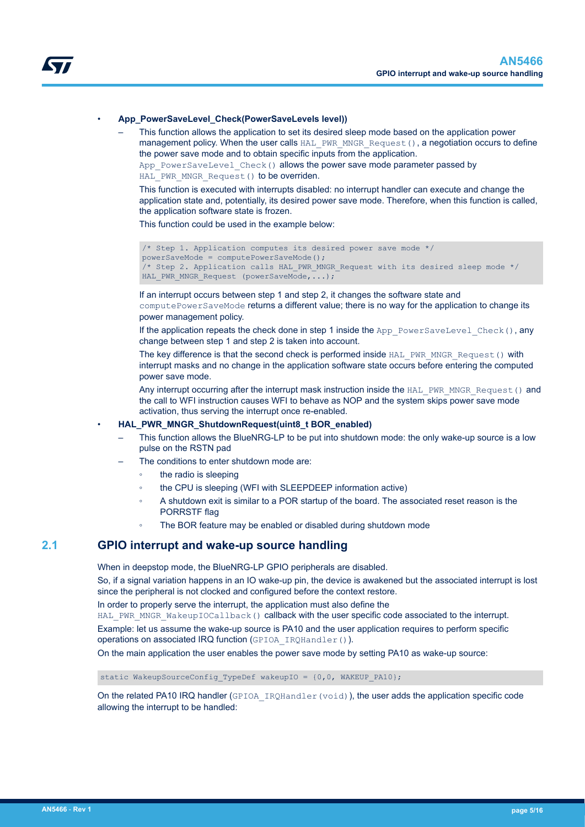<span id="page-4-0"></span>

#### • **App\_PowerSaveLevel\_Check(PowerSaveLevels level))**

– This function allows the application to set its desired sleep mode based on the application power management policy. When the user calls HAL PWR\_MNGR\_Request(), a negotiation occurs to define the power save mode and to obtain specific inputs from the application.

App\_PowerSaveLevel\_Check() allows the power save mode parameter passed by HAL PWR MNGR Request() to be overriden.

This function is executed with interrupts disabled: no interrupt handler can execute and change the application state and, potentially, its desired power save mode. Therefore, when this function is called, the application software state is frozen.

This function could be used in the example below:

```
/* Step 1. Application computes its desired power save mode */
powerSaveMode = computePowerSaveMode();
/* Step 2. Application calls HAL_PWR_MNGR_Request with its desired sleep mode */ 
HAL PWR MNGR Request (powerSaveMode,...);
```
If an interrupt occurs between step 1 and step 2, it changes the software state and computePowerSaveMode returns a different value; there is no way for the application to change its power management policy.

If the application repeats the check done in step 1 inside the App\_PowerSaveLevel\_Check(), any change between step 1 and step 2 is taken into account.

The key difference is that the second check is performed inside HAL\_PWR\_MNGR\_Request() with interrupt masks and no change in the application software state occurs before entering the computed power save mode.

Any interrupt occurring after the interrupt mask instruction inside the HAL\_PWR\_MNGR\_Request() and the call to WFI instruction causes WFI to behave as NOP and the system skips power save mode activation, thus serving the interrupt once re-enabled.

#### • **HAL\_PWR\_MNGR\_ShutdownRequest(uint8\_t BOR\_enabled)**

- This function allows the BlueNRG-LP to be put into shutdown mode: the only wake-up source is a low pulse on the RSTN pad
- The conditions to enter shutdown mode are:
	- the radio is sleeping
	- the CPU is sleeping (WFI with SLEEPDEEP information active)
	- A shutdown exit is similar to a POR startup of the board. The associated reset reason is the PORRSTF flag
	- The BOR feature may be enabled or disabled during shutdown mode

### **2.1 GPIO interrupt and wake-up source handling**

When in deepstop mode, the BlueNRG-LP GPIO peripherals are disabled.

So, if a signal variation happens in an IO wake-up pin, the device is awakened but the associated interrupt is lost since the peripheral is not clocked and configured before the context restore.

In order to properly serve the interrupt, the application must also define the

HAL PWR\_MNGR\_WakeupIOCallback() callback with the user specific code associated to the interrupt.

Example: let us assume the wake-up source is PA10 and the user application requires to perform specific operations on associated IRQ function (GPIOA\_IRQHandler()).

On the main application the user enables the power save mode by setting PA10 as wake-up source:

static WakeupSourceConfig\_TypeDef wakeupIO = {0,0, WAKEUP PA10};

On the related PA10 IRQ handler (GPIOA\_IRQHandler(void)), the user adds the application specific code allowing the interrupt to be handled: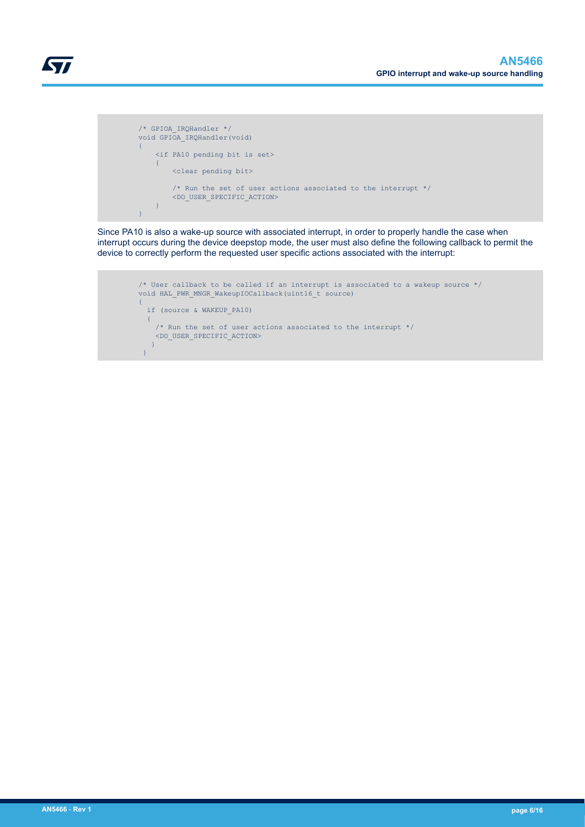

```
 /* GPIOA_IRQHandler */
         void GPIOA_IRQHandler(void)
        \{ <if PA10 pending bit is set>
\mathcal{L}=\{1,2,3,4,5,6,6,8\} <clear pending bit>
 /* Run the set of user actions associated to the interrupt */
Experiment CDO_USER_SPECIFIC_ACTION>
 } 
 }
```
Since PA10 is also a wake-up source with associated interrupt, in order to properly handle the case when interrupt occurs during the device deepstop mode, the user must also define the following callback to permit the device to correctly perform the requested user specific actions associated with the interrupt:

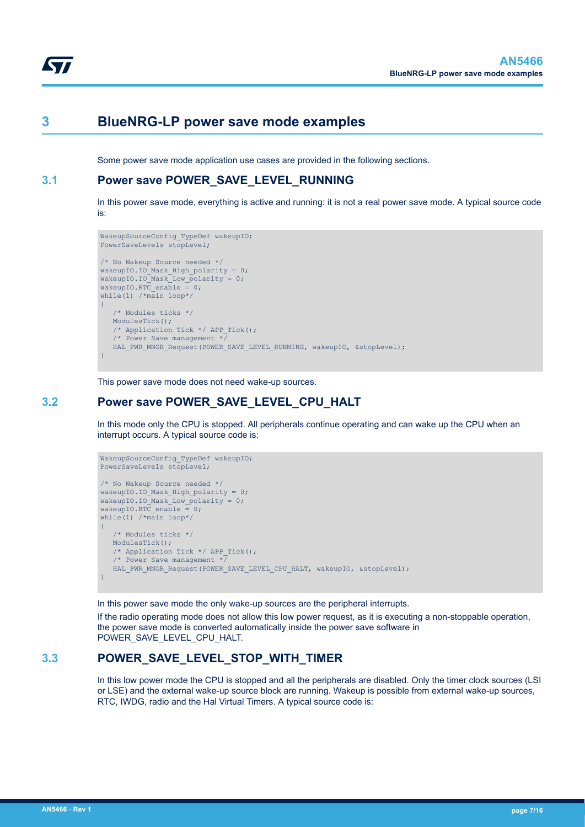<span id="page-6-0"></span>

## **3 BlueNRG-LP power save mode examples**

Some power save mode application use cases are provided in the following sections.

### **3.1 Power save POWER\_SAVE\_LEVEL\_RUNNING**

In this power save mode, everything is active and running: it is not a real power save mode. A typical source code is:

```
WakeupSourceConfig_TypeDef wakeupIO;
PowerSaveLevels stopLevel;
/* No Wakeup Source needed */
wakeupIO.IO Mask High polarity = 0;wakeupIO.IO_Mask_Low_polarity = 0;
wakeupIO.RTC_enable = 0;
while(1) /*main loop*/
{ 
    /* Modules ticks */
   ModulesTick();
    /* Application Tick */ APP_Tick();
    /* Power Save management */ 
   HAL_PWR_MNGR_Request(POWER_SAVE_LEVEL_RUNNING, wakeupIO, &stopLevel);
}
```
This power save mode does not need wake-up sources.

### **3.2 Power save POWER\_SAVE\_LEVEL\_CPU\_HALT**

In this mode only the CPU is stopped. All peripherals continue operating and can wake up the CPU when an interrupt occurs. A typical source code is:

```
WakeupSourceConfig TypeDef wakeupIO;
PowerSaveLevels stopLevel;
/* No Wakeup Source needed */
wakeupIO.IO_Mask_High_polarity = 0;
wakeupIO.IO_Mask_Low_polarity = 0;
wakeupIO.RTC_enable = 0;while(1) /*main loop*/
{ 
    /* Modules ticks */
    ModulesTick();
    /* Application Tick */ APP_Tick();
    /* Power Save management */ 
   HAL_PWR_MNGR_Request(POWER_SAVE_LEVEL_CPU_HALT, wakeupIO, &stopLevel);
}
```
In this power save mode the only wake-up sources are the peripheral interrupts.

If the radio operating mode does not allow this low power request, as it is executing a non-stoppable operation, the power save mode is converted automatically inside the power save software in POWER\_SAVE\_LEVEL\_CPU\_HALT.

## **3.3 POWER\_SAVE\_LEVEL\_STOP\_WITH\_TIMER**

In this low power mode the CPU is stopped and all the peripherals are disabled. Only the timer clock sources (LSI or LSE) and the external wake-up source block are running. Wakeup is possible from external wake-up sources, RTC, IWDG, radio and the Hal Virtual Timers. A typical source code is: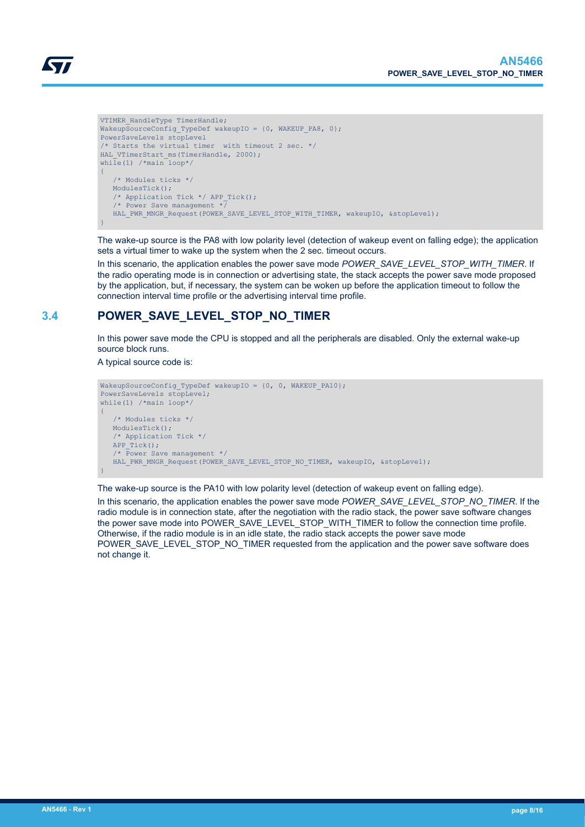<span id="page-7-0"></span>

```
VTIMER_HandleType TimerHandle;
WakeupSourceConfig_TypeDef wakeupIO = {0, WAKEUP_PA8, 0};
PowerSaveLevels stopLevel
/* Starts the virtual timer with timeout 2 sec. */ 
HAL VTimerStart ms (TimerHandle, 2000);
while(1) /*main loop*/
{
    /* Modules ticks */
    ModulesTick();
   /* Application Tick */ APP Tick();
    /* Power Save management */ 
   HAL_PWR_MNGR_Request(POWER_SAVE_LEVEL_STOP_WITH_TIMER, wakeupIO, &stopLevel);
}
```
The wake-up source is the PA8 with low polarity level (detection of wakeup event on falling edge); the application sets a virtual timer to wake up the system when the 2 sec. timeout occurs.

In this scenario, the application enables the power save mode *POWER\_SAVE\_LEVEL\_STOP\_WITH\_TIMER*. If the radio operating mode is in connection or advertising state, the stack accepts the power save mode proposed by the application, but, if necessary, the system can be woken up before the application timeout to follow the connection interval time profile or the advertising interval time profile.

## **3.4 POWER\_SAVE\_LEVEL\_STOP\_NO\_TIMER**

In this power save mode the CPU is stopped and all the peripherals are disabled. Only the external wake-up source block runs.

A typical source code is:

```
WakeupSourceConfig TypeDef wakeupIO = {0, 0, WAKEUP PA10};
PowerSaveLevels stopLevel;
while(1) /*main loop*/
{
    /* Modules ticks */
   ModulesTick();
    /* Application Tick */ 
  APPTick();
    /* Power Save management */
   HAL_PWR_MNGR_Request(POWER_SAVE_LEVEL_STOP_NO_TIMER, wakeupIO, &stopLevel);
}
```
The wake-up source is the PA10 with low polarity level (detection of wakeup event on falling edge).

In this scenario, the application enables the power save mode *POWER\_SAVE\_LEVEL\_STOP\_NO\_TIMER*. If the radio module is in connection state, after the negotiation with the radio stack, the power save software changes the power save mode into POWER\_SAVE\_LEVEL\_STOP\_WITH\_TIMER to follow the connection time profile. Otherwise, if the radio module is in an idle state, the radio stack accepts the power save mode POWER\_SAVE\_LEVEL\_STOP\_NO\_TIMER requested from the application and the power save software does not change it.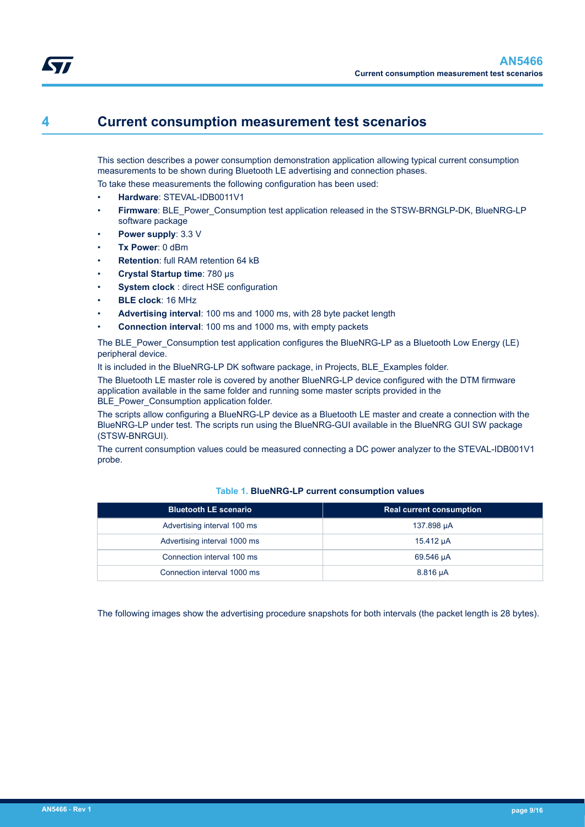## <span id="page-8-0"></span>**4 Current consumption measurement test scenarios**

This section describes a power consumption demonstration application allowing typical current consumption measurements to be shown during Bluetooth LE advertising and connection phases.

To take these measurements the following configuration has been used:

- **Hardware**: STEVAL-IDB0011V1
- **Firmware**: BLE\_Power\_Consumption test application released in the STSW-BRNGLP-DK, BlueNRG-LP software package
- **Power supply**: 3.3 V
- **Tx Power**: 0 dBm
- **Retention**: full RAM retention 64 kB
- **Crystal Startup time**: 780 µs
- **System clock** : direct HSE configuration
- **BLE clock**: 16 MHz
- **Advertising interval**: 100 ms and 1000 ms, with 28 byte packet length
- **Connection interval**: 100 ms and 1000 ms, with empty packets

The BLE\_Power\_Consumption test application configures the BlueNRG-LP as a Bluetooth Low Energy (LE) peripheral device.

It is included in the BlueNRG-LP DK software package, in Projects, BLE\_Examples folder.

The Bluetooth LE master role is covered by another BlueNRG-LP device configured with the DTM firmware application available in the same folder and running some master scripts provided in the BLE\_Power\_Consumption application folder.

The scripts allow configuring a BlueNRG-LP device as a Bluetooth LE master and create a connection with the BlueNRG-LP under test. The scripts run using the BlueNRG-GUI available in the BlueNRG GUI SW package (STSW-BNRGUI).

The current consumption values could be measured connecting a DC power analyzer to the STEVAL-IDB001V1 probe.

| <b>Bluetooth LE scenario</b> | <b>Real current consumption</b> |
|------------------------------|---------------------------------|
| Advertising interval 100 ms  | 137.898 µA                      |
| Advertising interval 1000 ms | 15.412 µA                       |
| Connection interval 100 ms   | 69.546 µA                       |
| Connection interval 1000 ms  | 8.816 µA                        |

#### **Table 1. BlueNRG-LP current consumption values**

The following images show the advertising procedure snapshots for both intervals (the packet length is 28 bytes).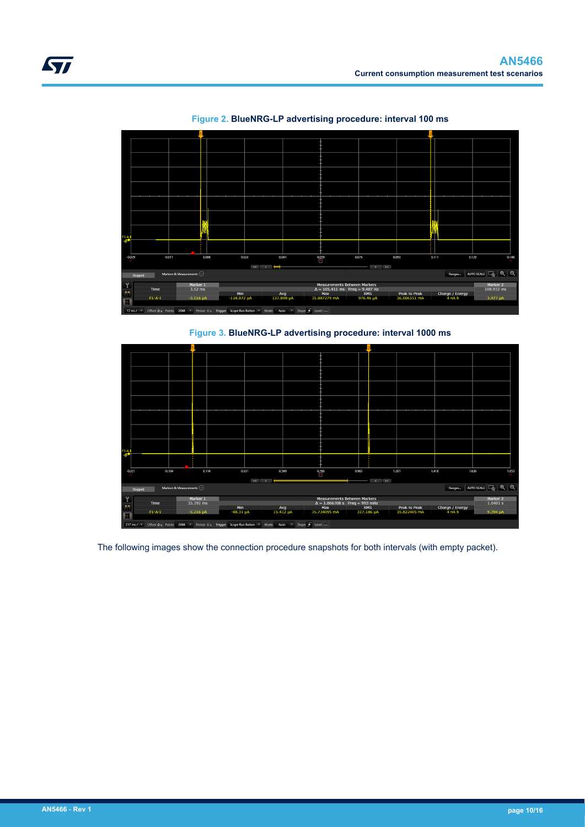<span id="page-9-0"></span>

**Figure 2. BlueNRG-LP advertising procedure: interval 100 ms**

**Figure 3. BlueNRG-LP advertising procedure: interval 1000 ms**



The following images show the connection procedure snapshots for both intervals (with empty packet).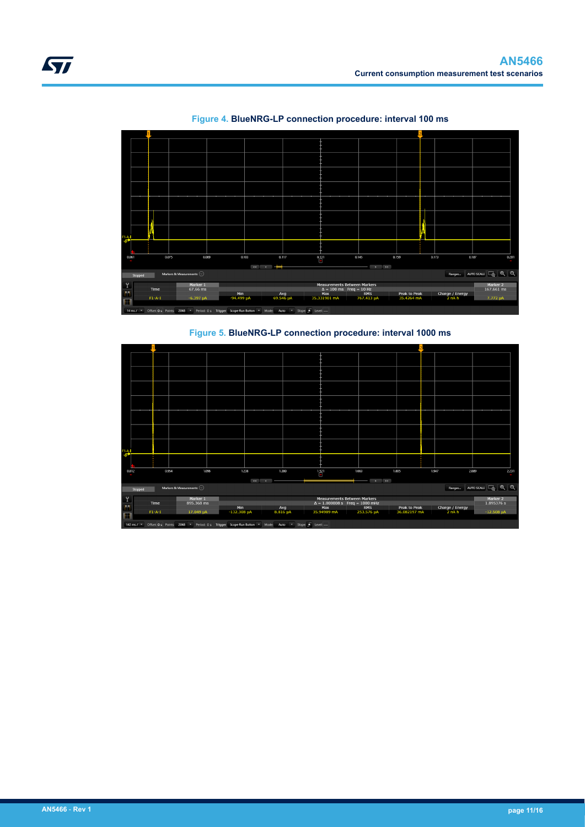<span id="page-10-0"></span>

**Figure 4. BlueNRG-LP connection procedure: interval 100 ms**

**Figure 5. BlueNRG-LP connection procedure: interval 1000 ms**

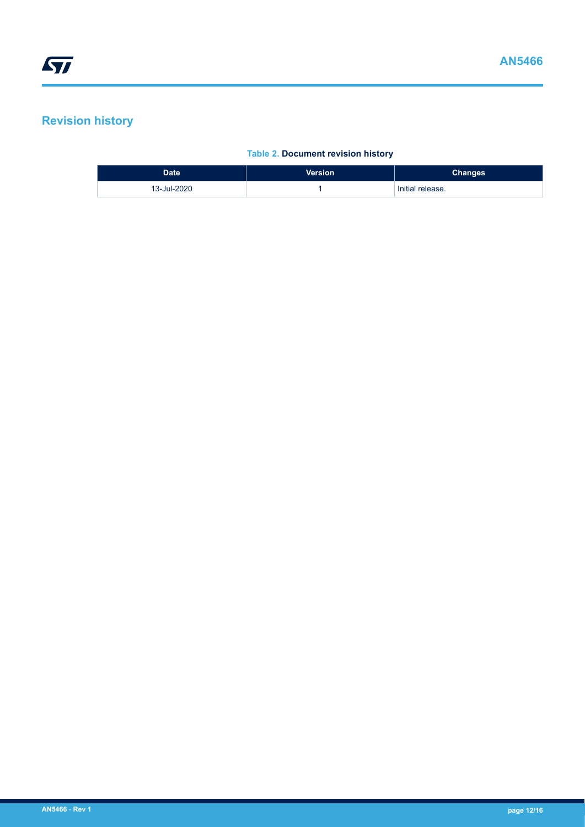## <span id="page-11-0"></span>**Revision history**

### **Table 2. Document revision history**

| Date <sup>1</sup> | <b>Version</b> | <b>Changes</b>   |
|-------------------|----------------|------------------|
| 13-Jul-2020       |                | Initial release. |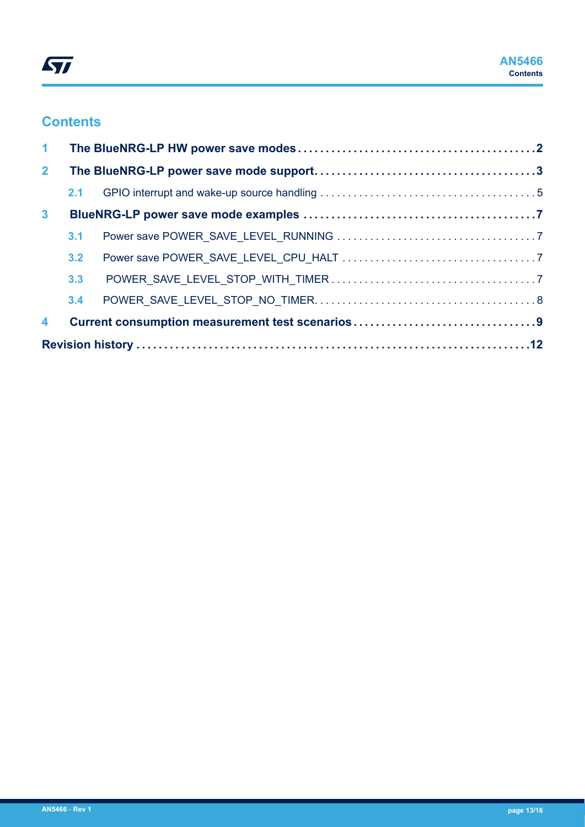## **Contents**

| $\mathbf{1}$   |     |  |
|----------------|-----|--|
| 2 <sup>1</sup> |     |  |
|                | 2.1 |  |
| 3 <sup>1</sup> |     |  |
|                | 3.1 |  |
|                | 3.2 |  |
|                | 3.3 |  |
|                | 3.4 |  |
| 4              |     |  |
|                |     |  |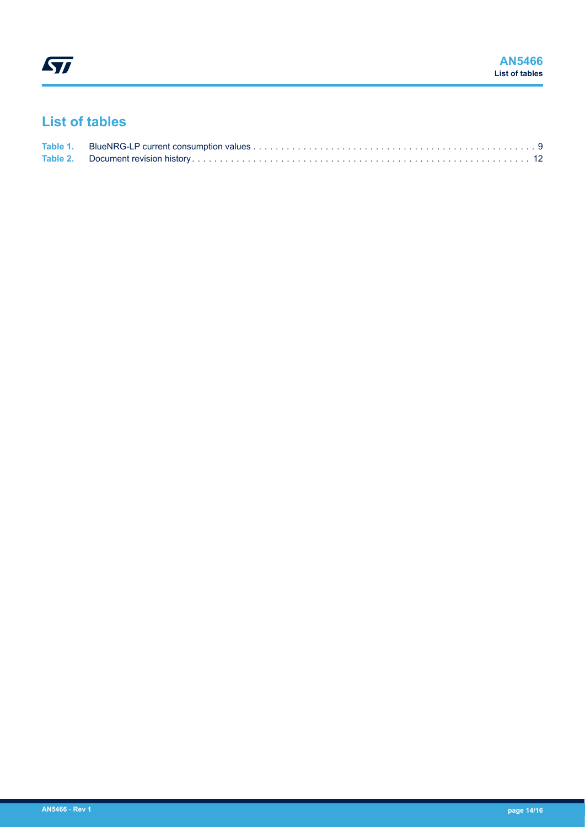## **List of tables**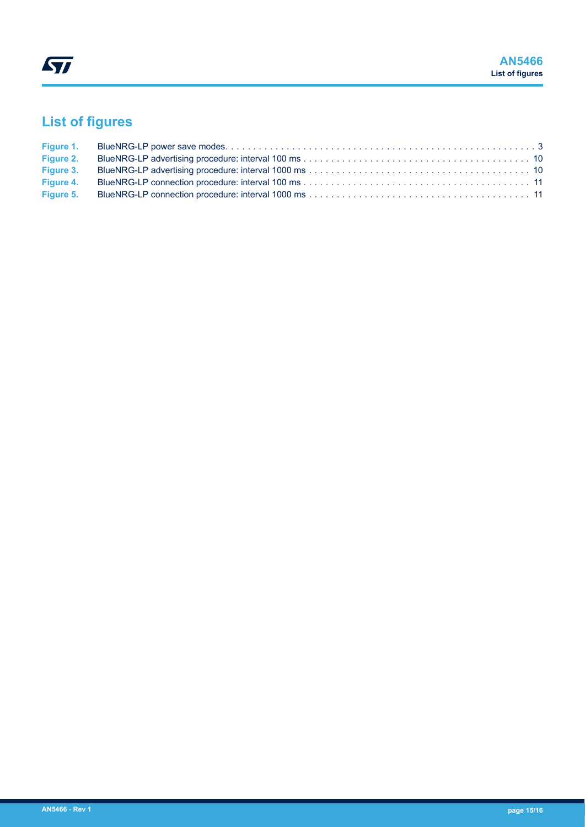# **List of figures**

| Figure 2. |  |
|-----------|--|
| Figure 3. |  |
| Figure 4. |  |
| Figure 5. |  |